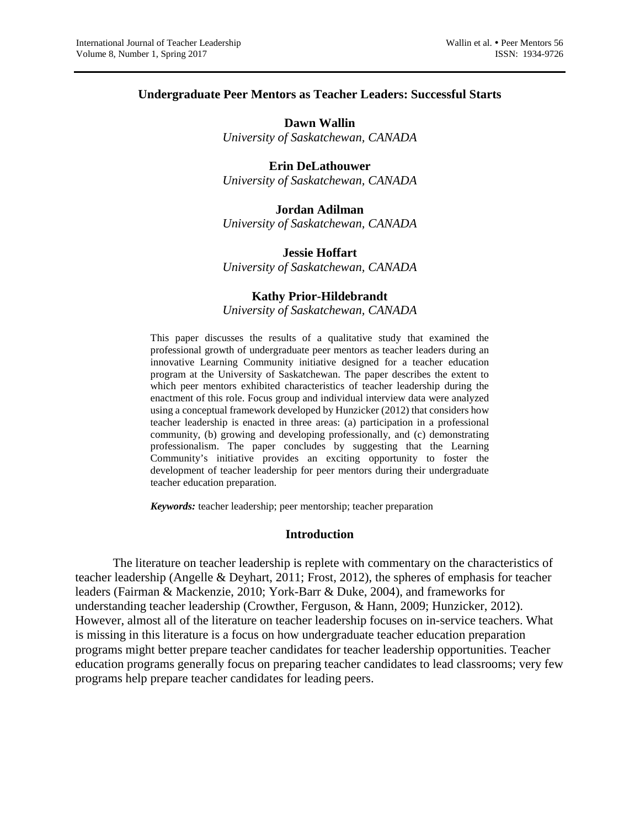#### **Undergraduate Peer Mentors as Teacher Leaders: Successful Starts**

**Dawn Wallin** *University of Saskatchewan, CANADA*

## **Erin DeLathouwer**

*University of Saskatchewan, CANADA*

**Jordan Adilman** *University of Saskatchewan, CANADA*

## **Jessie Hoffart**

*University of Saskatchewan, CANADA*

#### **Kathy Prior-Hildebrandt**

*University of Saskatchewan, CANADA*

This paper discusses the results of a qualitative study that examined the professional growth of undergraduate peer mentors as teacher leaders during an innovative Learning Community initiative designed for a teacher education program at the University of Saskatchewan. The paper describes the extent to which peer mentors exhibited characteristics of teacher leadership during the enactment of this role. Focus group and individual interview data were analyzed using a conceptual framework developed by Hunzicker (2012) that considers how teacher leadership is enacted in three areas: (a) participation in a professional community, (b) growing and developing professionally, and (c) demonstrating professionalism. The paper concludes by suggesting that the Learning Community's initiative provides an exciting opportunity to foster the development of teacher leadership for peer mentors during their undergraduate teacher education preparation.

*Keywords:* teacher leadership; peer mentorship; teacher preparation

#### **Introduction**

The literature on teacher leadership is replete with commentary on the characteristics of teacher leadership (Angelle & Deyhart, 2011; Frost, 2012), the spheres of emphasis for teacher leaders (Fairman & Mackenzie, 2010; York-Barr & Duke, 2004), and frameworks for understanding teacher leadership (Crowther, Ferguson, & Hann, 2009; Hunzicker, 2012). However, almost all of the literature on teacher leadership focuses on in-service teachers. What is missing in this literature is a focus on how undergraduate teacher education preparation programs might better prepare teacher candidates for teacher leadership opportunities. Teacher education programs generally focus on preparing teacher candidates to lead classrooms; very few programs help prepare teacher candidates for leading peers.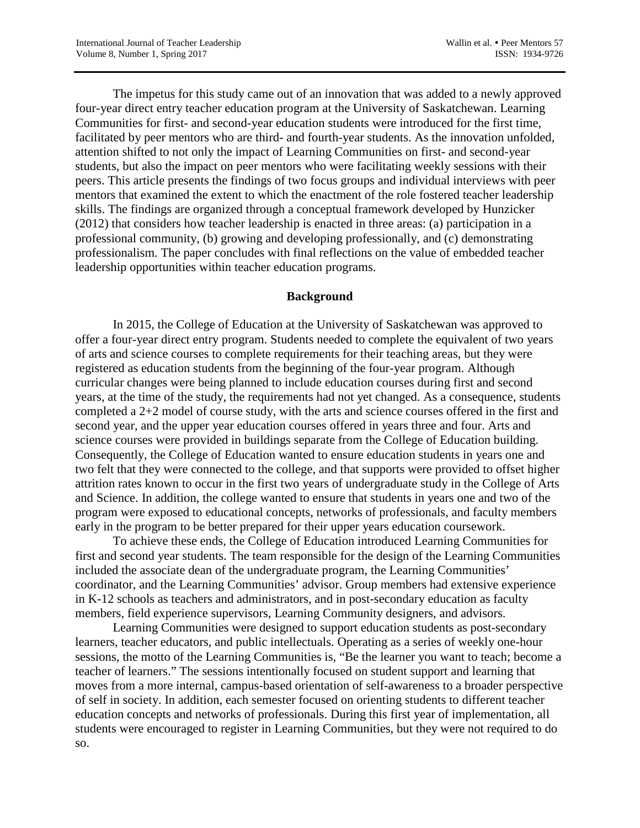The impetus for this study came out of an innovation that was added to a newly approved four-year direct entry teacher education program at the University of Saskatchewan. Learning Communities for first- and second-year education students were introduced for the first time, facilitated by peer mentors who are third- and fourth-year students. As the innovation unfolded, attention shifted to not only the impact of Learning Communities on first- and second-year students, but also the impact on peer mentors who were facilitating weekly sessions with their peers. This article presents the findings of two focus groups and individual interviews with peer mentors that examined the extent to which the enactment of the role fostered teacher leadership skills. The findings are organized through a conceptual framework developed by Hunzicker (2012) that considers how teacher leadership is enacted in three areas: (a) participation in a professional community, (b) growing and developing professionally, and (c) demonstrating professionalism. The paper concludes with final reflections on the value of embedded teacher leadership opportunities within teacher education programs.

### **Background**

In 2015, the College of Education at the University of Saskatchewan was approved to offer a four-year direct entry program. Students needed to complete the equivalent of two years of arts and science courses to complete requirements for their teaching areas, but they were registered as education students from the beginning of the four-year program. Although curricular changes were being planned to include education courses during first and second years, at the time of the study, the requirements had not yet changed. As a consequence, students completed a 2+2 model of course study, with the arts and science courses offered in the first and second year, and the upper year education courses offered in years three and four. Arts and science courses were provided in buildings separate from the College of Education building. Consequently, the College of Education wanted to ensure education students in years one and two felt that they were connected to the college, and that supports were provided to offset higher attrition rates known to occur in the first two years of undergraduate study in the College of Arts and Science. In addition, the college wanted to ensure that students in years one and two of the program were exposed to educational concepts, networks of professionals, and faculty members early in the program to be better prepared for their upper years education coursework.

To achieve these ends, the College of Education introduced Learning Communities for first and second year students. The team responsible for the design of the Learning Communities included the associate dean of the undergraduate program, the Learning Communities' coordinator, and the Learning Communities' advisor. Group members had extensive experience in K-12 schools as teachers and administrators, and in post-secondary education as faculty members, field experience supervisors, Learning Community designers, and advisors.

Learning Communities were designed to support education students as post-secondary learners, teacher educators, and public intellectuals. Operating as a series of weekly one-hour sessions, the motto of the Learning Communities is, "Be the learner you want to teach; become a teacher of learners." The sessions intentionally focused on student support and learning that moves from a more internal, campus-based orientation of self-awareness to a broader perspective of self in society. In addition, each semester focused on orienting students to different teacher education concepts and networks of professionals. During this first year of implementation, all students were encouraged to register in Learning Communities, but they were not required to do so.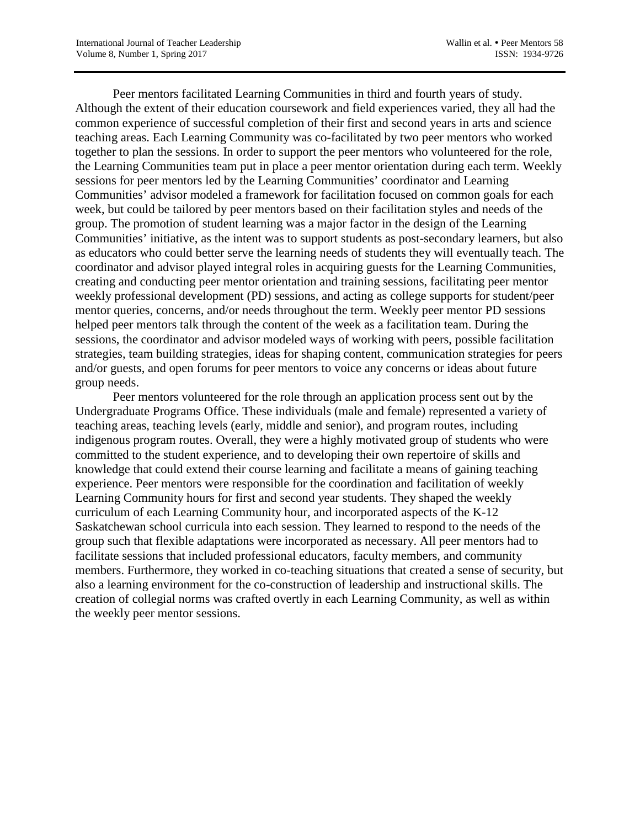Peer mentors facilitated Learning Communities in third and fourth years of study. Although the extent of their education coursework and field experiences varied, they all had the common experience of successful completion of their first and second years in arts and science teaching areas. Each Learning Community was co-facilitated by two peer mentors who worked together to plan the sessions. In order to support the peer mentors who volunteered for the role, the Learning Communities team put in place a peer mentor orientation during each term. Weekly sessions for peer mentors led by the Learning Communities' coordinator and Learning Communities' advisor modeled a framework for facilitation focused on common goals for each week, but could be tailored by peer mentors based on their facilitation styles and needs of the group. The promotion of student learning was a major factor in the design of the Learning Communities' initiative, as the intent was to support students as post-secondary learners, but also as educators who could better serve the learning needs of students they will eventually teach. The coordinator and advisor played integral roles in acquiring guests for the Learning Communities, creating and conducting peer mentor orientation and training sessions, facilitating peer mentor weekly professional development (PD) sessions, and acting as college supports for student/peer mentor queries, concerns, and/or needs throughout the term. Weekly peer mentor PD sessions helped peer mentors talk through the content of the week as a facilitation team. During the sessions, the coordinator and advisor modeled ways of working with peers, possible facilitation strategies, team building strategies, ideas for shaping content, communication strategies for peers and/or guests, and open forums for peer mentors to voice any concerns or ideas about future group needs.

Peer mentors volunteered for the role through an application process sent out by the Undergraduate Programs Office. These individuals (male and female) represented a variety of teaching areas, teaching levels (early, middle and senior), and program routes, including indigenous program routes. Overall, they were a highly motivated group of students who were committed to the student experience, and to developing their own repertoire of skills and knowledge that could extend their course learning and facilitate a means of gaining teaching experience. Peer mentors were responsible for the coordination and facilitation of weekly Learning Community hours for first and second year students. They shaped the weekly curriculum of each Learning Community hour, and incorporated aspects of the K-12 Saskatchewan school curricula into each session. They learned to respond to the needs of the group such that flexible adaptations were incorporated as necessary. All peer mentors had to facilitate sessions that included professional educators, faculty members, and community members. Furthermore, they worked in co-teaching situations that created a sense of security, but also a learning environment for the co-construction of leadership and instructional skills. The creation of collegial norms was crafted overtly in each Learning Community, as well as within the weekly peer mentor sessions.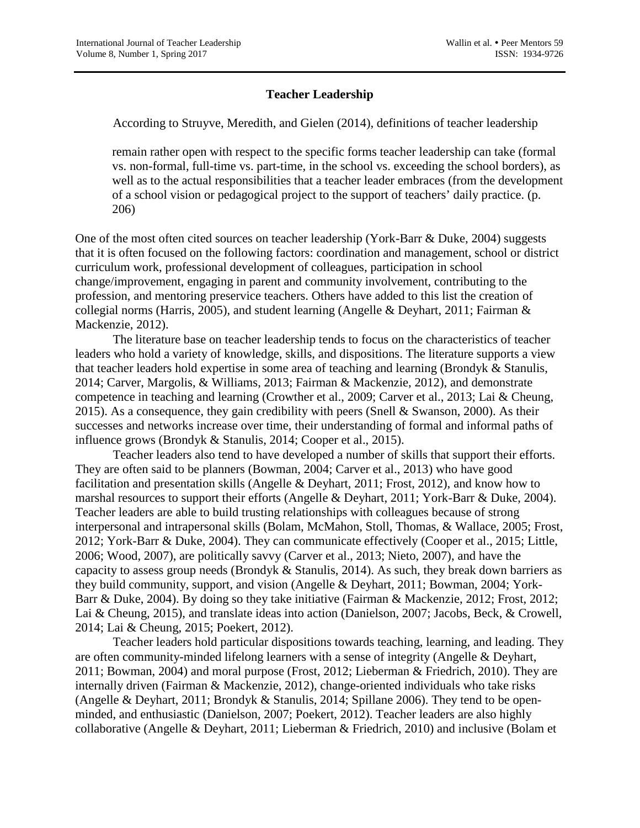## **Teacher Leadership**

According to Struyve, Meredith, and Gielen (2014), definitions of teacher leadership

remain rather open with respect to the specific forms teacher leadership can take (formal vs. non-formal, full-time vs. part-time, in the school vs. exceeding the school borders), as well as to the actual responsibilities that a teacher leader embraces (from the development of a school vision or pedagogical project to the support of teachers' daily practice. (p. 206)

One of the most often cited sources on teacher leadership (York-Barr & Duke, 2004) suggests that it is often focused on the following factors: coordination and management, school or district curriculum work, professional development of colleagues, participation in school change/improvement, engaging in parent and community involvement, contributing to the profession, and mentoring preservice teachers. Others have added to this list the creation of collegial norms (Harris, 2005), and student learning (Angelle & Deyhart, 2011; Fairman & Mackenzie, 2012).

The literature base on teacher leadership tends to focus on the characteristics of teacher leaders who hold a variety of knowledge, skills, and dispositions. The literature supports a view that teacher leaders hold expertise in some area of teaching and learning (Brondyk & Stanulis, 2014; Carver, Margolis, & Williams, 2013; Fairman & Mackenzie, 2012), and demonstrate competence in teaching and learning (Crowther et al., 2009; Carver et al., 2013; Lai & Cheung, 2015). As a consequence, they gain credibility with peers (Snell & Swanson, 2000). As their successes and networks increase over time, their understanding of formal and informal paths of influence grows (Brondyk & Stanulis, 2014; Cooper et al., 2015).

Teacher leaders also tend to have developed a number of skills that support their efforts. They are often said to be planners (Bowman, 2004; Carver et al., 2013) who have good facilitation and presentation skills (Angelle & Deyhart, 2011; Frost, 2012), and know how to marshal resources to support their efforts (Angelle & Deyhart, 2011; York-Barr & Duke, 2004). Teacher leaders are able to build trusting relationships with colleagues because of strong interpersonal and intrapersonal skills (Bolam, McMahon, Stoll, Thomas, & Wallace, 2005; Frost, 2012; York-Barr & Duke, 2004). They can communicate effectively (Cooper et al., 2015; Little, 2006; Wood, 2007), are politically savvy (Carver et al., 2013; Nieto, 2007), and have the capacity to assess group needs (Brondyk & Stanulis, 2014). As such, they break down barriers as they build community, support, and vision (Angelle & Deyhart, 2011; Bowman, 2004; York-Barr & Duke, 2004). By doing so they take initiative (Fairman & Mackenzie, 2012; Frost, 2012; Lai & Cheung, 2015), and translate ideas into action (Danielson, 2007; Jacobs, Beck, & Crowell, 2014; Lai & Cheung, 2015; Poekert, 2012).

Teacher leaders hold particular dispositions towards teaching, learning, and leading. They are often community-minded lifelong learners with a sense of integrity (Angelle & Deyhart, 2011; Bowman, 2004) and moral purpose (Frost, 2012; Lieberman & Friedrich, 2010). They are internally driven (Fairman & Mackenzie, 2012), change-oriented individuals who take risks (Angelle & Deyhart, 2011; Brondyk & Stanulis, 2014; Spillane 2006). They tend to be openminded, and enthusiastic (Danielson, 2007; Poekert, 2012). Teacher leaders are also highly collaborative (Angelle & Deyhart, 2011; Lieberman & Friedrich, 2010) and inclusive (Bolam et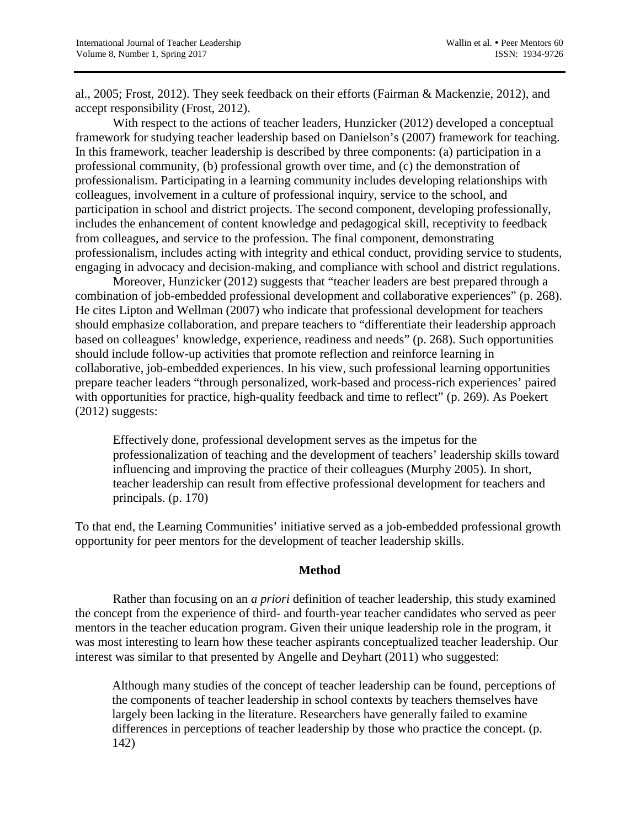al., 2005; Frost, 2012). They seek feedback on their efforts (Fairman & Mackenzie, 2012), and accept responsibility (Frost, 2012).

With respect to the actions of teacher leaders, Hunzicker (2012) developed a conceptual framework for studying teacher leadership based on Danielson's (2007) framework for teaching. In this framework, teacher leadership is described by three components: (a) participation in a professional community, (b) professional growth over time, and (c) the demonstration of professionalism. Participating in a learning community includes developing relationships with colleagues, involvement in a culture of professional inquiry, service to the school, and participation in school and district projects. The second component, developing professionally, includes the enhancement of content knowledge and pedagogical skill, receptivity to feedback from colleagues, and service to the profession. The final component, demonstrating professionalism, includes acting with integrity and ethical conduct, providing service to students, engaging in advocacy and decision-making, and compliance with school and district regulations.

Moreover, Hunzicker (2012) suggests that "teacher leaders are best prepared through a combination of job-embedded professional development and collaborative experiences" (p. 268). He cites Lipton and Wellman (2007) who indicate that professional development for teachers should emphasize collaboration, and prepare teachers to "differentiate their leadership approach based on colleagues' knowledge, experience, readiness and needs" (p. 268). Such opportunities should include follow-up activities that promote reflection and reinforce learning in collaborative, job-embedded experiences. In his view, such professional learning opportunities prepare teacher leaders "through personalized, work-based and process-rich experiences' paired with opportunities for practice, high-quality feedback and time to reflect" (p. 269). As Poekert (2012) suggests:

Effectively done, professional development serves as the impetus for the professionalization of teaching and the development of teachers' leadership skills toward influencing and improving the practice of their colleagues (Murphy 2005). In short, teacher leadership can result from effective professional development for teachers and principals. (p. 170)

To that end, the Learning Communities' initiative served as a job-embedded professional growth opportunity for peer mentors for the development of teacher leadership skills.

## **Method**

Rather than focusing on an *a priori* definition of teacher leadership, this study examined the concept from the experience of third- and fourth-year teacher candidates who served as peer mentors in the teacher education program. Given their unique leadership role in the program, it was most interesting to learn how these teacher aspirants conceptualized teacher leadership. Our interest was similar to that presented by Angelle and Deyhart (2011) who suggested:

Although many studies of the concept of teacher leadership can be found, perceptions of the components of teacher leadership in school contexts by teachers themselves have largely been lacking in the literature. Researchers have generally failed to examine differences in perceptions of teacher leadership by those who practice the concept. (p. 142)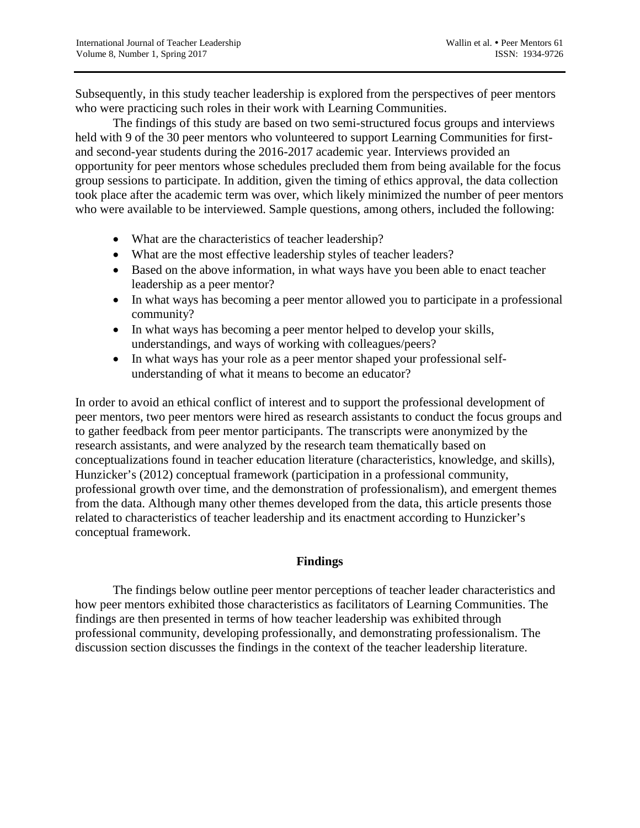Subsequently, in this study teacher leadership is explored from the perspectives of peer mentors who were practicing such roles in their work with Learning Communities.

The findings of this study are based on two semi-structured focus groups and interviews held with 9 of the 30 peer mentors who volunteered to support Learning Communities for firstand second-year students during the 2016-2017 academic year. Interviews provided an opportunity for peer mentors whose schedules precluded them from being available for the focus group sessions to participate. In addition, given the timing of ethics approval, the data collection took place after the academic term was over, which likely minimized the number of peer mentors who were available to be interviewed. Sample questions, among others, included the following:

- What are the characteristics of teacher leadership?
- What are the most effective leadership styles of teacher leaders?
- Based on the above information, in what ways have you been able to enact teacher leadership as a peer mentor?
- In what ways has becoming a peer mentor allowed you to participate in a professional community?
- In what ways has becoming a peer mentor helped to develop your skills, understandings, and ways of working with colleagues/peers?
- In what ways has your role as a peer mentor shaped your professional selfunderstanding of what it means to become an educator?

In order to avoid an ethical conflict of interest and to support the professional development of peer mentors, two peer mentors were hired as research assistants to conduct the focus groups and to gather feedback from peer mentor participants. The transcripts were anonymized by the research assistants, and were analyzed by the research team thematically based on conceptualizations found in teacher education literature (characteristics, knowledge, and skills), Hunzicker's (2012) conceptual framework (participation in a professional community, professional growth over time, and the demonstration of professionalism), and emergent themes from the data. Although many other themes developed from the data, this article presents those related to characteristics of teacher leadership and its enactment according to Hunzicker's conceptual framework.

## **Findings**

The findings below outline peer mentor perceptions of teacher leader characteristics and how peer mentors exhibited those characteristics as facilitators of Learning Communities. The findings are then presented in terms of how teacher leadership was exhibited through professional community, developing professionally, and demonstrating professionalism. The discussion section discusses the findings in the context of the teacher leadership literature.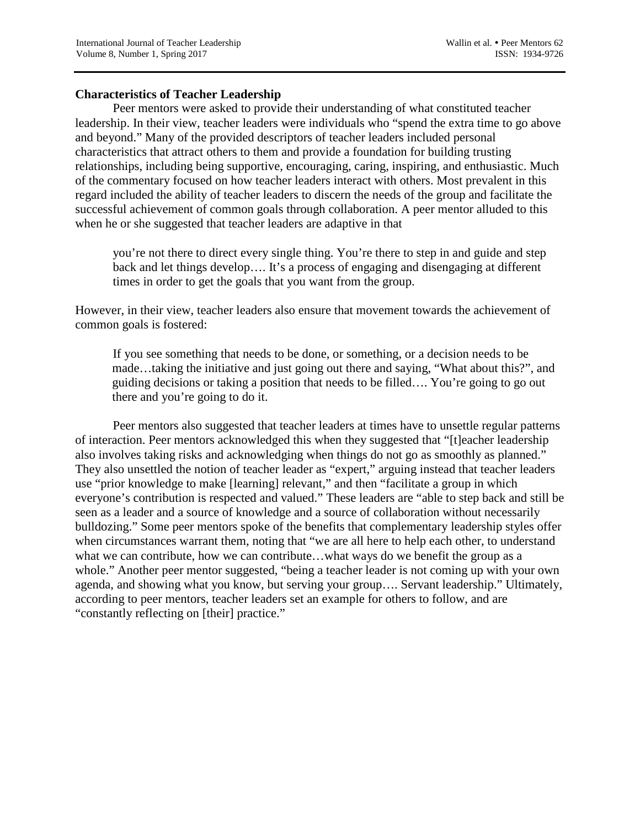### **Characteristics of Teacher Leadership**

Peer mentors were asked to provide their understanding of what constituted teacher leadership. In their view, teacher leaders were individuals who "spend the extra time to go above and beyond." Many of the provided descriptors of teacher leaders included personal characteristics that attract others to them and provide a foundation for building trusting relationships, including being supportive, encouraging, caring, inspiring, and enthusiastic. Much of the commentary focused on how teacher leaders interact with others. Most prevalent in this regard included the ability of teacher leaders to discern the needs of the group and facilitate the successful achievement of common goals through collaboration. A peer mentor alluded to this when he or she suggested that teacher leaders are adaptive in that

you're not there to direct every single thing. You're there to step in and guide and step back and let things develop…. It's a process of engaging and disengaging at different times in order to get the goals that you want from the group.

However, in their view, teacher leaders also ensure that movement towards the achievement of common goals is fostered:

If you see something that needs to be done, or something, or a decision needs to be made…taking the initiative and just going out there and saying, "What about this?", and guiding decisions or taking a position that needs to be filled…. You're going to go out there and you're going to do it.

Peer mentors also suggested that teacher leaders at times have to unsettle regular patterns of interaction. Peer mentors acknowledged this when they suggested that "[t]eacher leadership also involves taking risks and acknowledging when things do not go as smoothly as planned." They also unsettled the notion of teacher leader as "expert," arguing instead that teacher leaders use "prior knowledge to make [learning] relevant," and then "facilitate a group in which everyone's contribution is respected and valued." These leaders are "able to step back and still be seen as a leader and a source of knowledge and a source of collaboration without necessarily bulldozing." Some peer mentors spoke of the benefits that complementary leadership styles offer when circumstances warrant them, noting that "we are all here to help each other, to understand what we can contribute, how we can contribute…what ways do we benefit the group as a whole." Another peer mentor suggested, "being a teacher leader is not coming up with your own agenda, and showing what you know, but serving your group…. Servant leadership." Ultimately, according to peer mentors, teacher leaders set an example for others to follow, and are "constantly reflecting on [their] practice."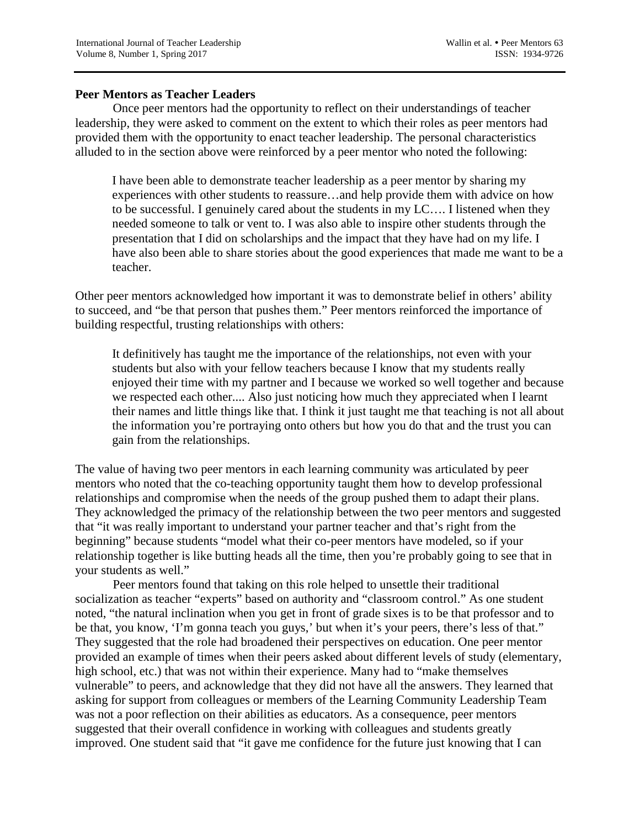### **Peer Mentors as Teacher Leaders**

Once peer mentors had the opportunity to reflect on their understandings of teacher leadership, they were asked to comment on the extent to which their roles as peer mentors had provided them with the opportunity to enact teacher leadership. The personal characteristics alluded to in the section above were reinforced by a peer mentor who noted the following:

I have been able to demonstrate teacher leadership as a peer mentor by sharing my experiences with other students to reassure…and help provide them with advice on how to be successful. I genuinely cared about the students in my LC…. I listened when they needed someone to talk or vent to. I was also able to inspire other students through the presentation that I did on scholarships and the impact that they have had on my life. I have also been able to share stories about the good experiences that made me want to be a teacher.

Other peer mentors acknowledged how important it was to demonstrate belief in others' ability to succeed, and "be that person that pushes them." Peer mentors reinforced the importance of building respectful, trusting relationships with others:

It definitively has taught me the importance of the relationships, not even with your students but also with your fellow teachers because I know that my students really enjoyed their time with my partner and I because we worked so well together and because we respected each other.... Also just noticing how much they appreciated when I learnt their names and little things like that. I think it just taught me that teaching is not all about the information you're portraying onto others but how you do that and the trust you can gain from the relationships.

The value of having two peer mentors in each learning community was articulated by peer mentors who noted that the co-teaching opportunity taught them how to develop professional relationships and compromise when the needs of the group pushed them to adapt their plans. They acknowledged the primacy of the relationship between the two peer mentors and suggested that "it was really important to understand your partner teacher and that's right from the beginning" because students "model what their co-peer mentors have modeled, so if your relationship together is like butting heads all the time, then you're probably going to see that in your students as well."

Peer mentors found that taking on this role helped to unsettle their traditional socialization as teacher "experts" based on authority and "classroom control." As one student noted, "the natural inclination when you get in front of grade sixes is to be that professor and to be that, you know, 'I'm gonna teach you guys,' but when it's your peers, there's less of that." They suggested that the role had broadened their perspectives on education. One peer mentor provided an example of times when their peers asked about different levels of study (elementary, high school, etc.) that was not within their experience. Many had to "make themselves vulnerable" to peers, and acknowledge that they did not have all the answers. They learned that asking for support from colleagues or members of the Learning Community Leadership Team was not a poor reflection on their abilities as educators. As a consequence, peer mentors suggested that their overall confidence in working with colleagues and students greatly improved. One student said that "it gave me confidence for the future just knowing that I can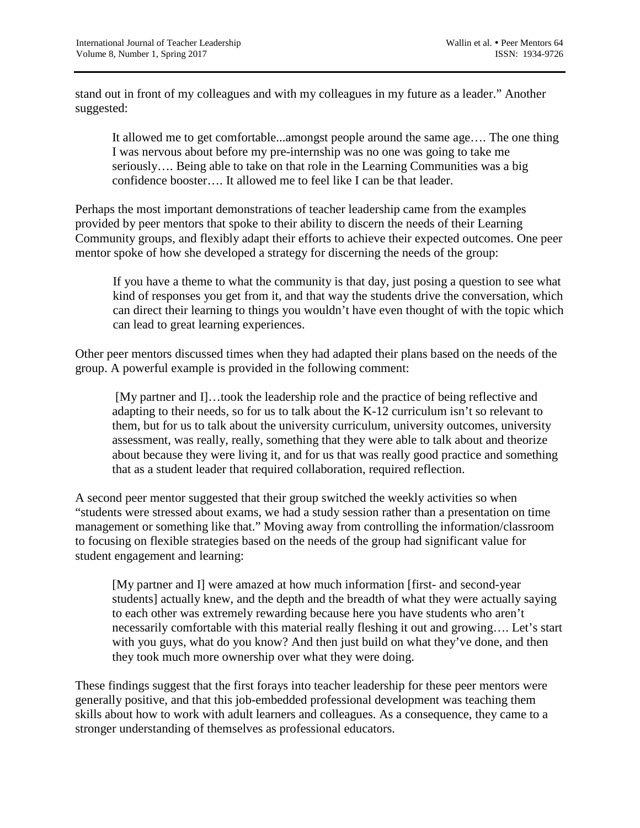stand out in front of my colleagues and with my colleagues in my future as a leader." Another suggested:

It allowed me to get comfortable...amongst people around the same age…. The one thing I was nervous about before my pre-internship was no one was going to take me seriously…. Being able to take on that role in the Learning Communities was a big confidence booster…. It allowed me to feel like I can be that leader.

Perhaps the most important demonstrations of teacher leadership came from the examples provided by peer mentors that spoke to their ability to discern the needs of their Learning Community groups, and flexibly adapt their efforts to achieve their expected outcomes. One peer mentor spoke of how she developed a strategy for discerning the needs of the group:

If you have a theme to what the community is that day, just posing a question to see what kind of responses you get from it, and that way the students drive the conversation, which can direct their learning to things you wouldn't have even thought of with the topic which can lead to great learning experiences.

Other peer mentors discussed times when they had adapted their plans based on the needs of the group. A powerful example is provided in the following comment:

[My partner and I]…took the leadership role and the practice of being reflective and adapting to their needs, so for us to talk about the K-12 curriculum isn't so relevant to them, but for us to talk about the university curriculum, university outcomes, university assessment, was really, really, something that they were able to talk about and theorize about because they were living it, and for us that was really good practice and something that as a student leader that required collaboration, required reflection.

A second peer mentor suggested that their group switched the weekly activities so when "students were stressed about exams, we had a study session rather than a presentation on time management or something like that." Moving away from controlling the information/classroom to focusing on flexible strategies based on the needs of the group had significant value for student engagement and learning:

[My partner and I] were amazed at how much information [first- and second-year students] actually knew, and the depth and the breadth of what they were actually saying to each other was extremely rewarding because here you have students who aren't necessarily comfortable with this material really fleshing it out and growing…. Let's start with you guys, what do you know? And then just build on what they've done, and then they took much more ownership over what they were doing.

These findings suggest that the first forays into teacher leadership for these peer mentors were generally positive, and that this job-embedded professional development was teaching them skills about how to work with adult learners and colleagues. As a consequence, they came to a stronger understanding of themselves as professional educators.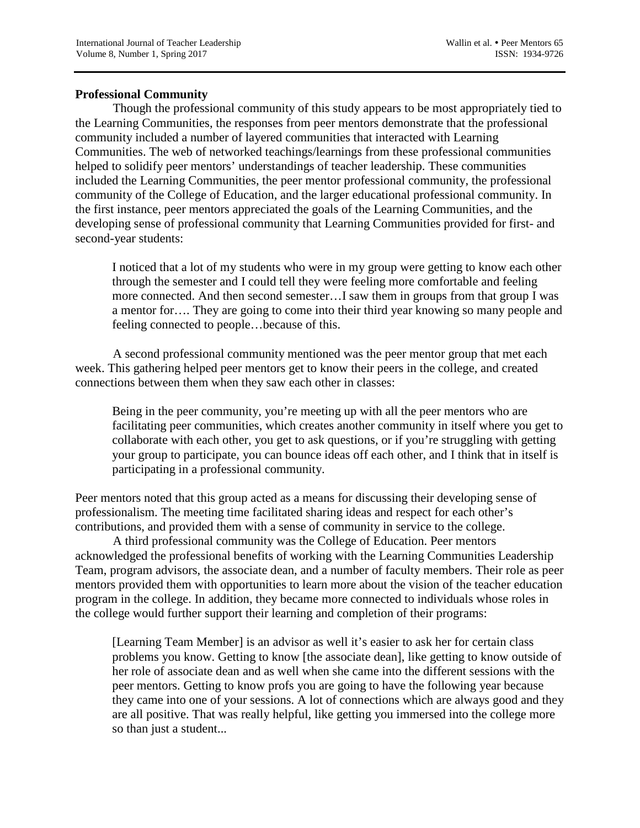## **Professional Community**

Though the professional community of this study appears to be most appropriately tied to the Learning Communities, the responses from peer mentors demonstrate that the professional community included a number of layered communities that interacted with Learning Communities. The web of networked teachings/learnings from these professional communities helped to solidify peer mentors' understandings of teacher leadership. These communities included the Learning Communities, the peer mentor professional community, the professional community of the College of Education, and the larger educational professional community. In the first instance, peer mentors appreciated the goals of the Learning Communities, and the developing sense of professional community that Learning Communities provided for first- and second-year students:

I noticed that a lot of my students who were in my group were getting to know each other through the semester and I could tell they were feeling more comfortable and feeling more connected. And then second semester…I saw them in groups from that group I was a mentor for…. They are going to come into their third year knowing so many people and feeling connected to people…because of this.

A second professional community mentioned was the peer mentor group that met each week. This gathering helped peer mentors get to know their peers in the college, and created connections between them when they saw each other in classes:

Being in the peer community, you're meeting up with all the peer mentors who are facilitating peer communities, which creates another community in itself where you get to collaborate with each other, you get to ask questions, or if you're struggling with getting your group to participate, you can bounce ideas off each other, and I think that in itself is participating in a professional community.

Peer mentors noted that this group acted as a means for discussing their developing sense of professionalism. The meeting time facilitated sharing ideas and respect for each other's contributions, and provided them with a sense of community in service to the college.

A third professional community was the College of Education. Peer mentors acknowledged the professional benefits of working with the Learning Communities Leadership Team, program advisors, the associate dean, and a number of faculty members. Their role as peer mentors provided them with opportunities to learn more about the vision of the teacher education program in the college. In addition, they became more connected to individuals whose roles in the college would further support their learning and completion of their programs:

[Learning Team Member] is an advisor as well it's easier to ask her for certain class problems you know. Getting to know [the associate dean], like getting to know outside of her role of associate dean and as well when she came into the different sessions with the peer mentors. Getting to know profs you are going to have the following year because they came into one of your sessions. A lot of connections which are always good and they are all positive. That was really helpful, like getting you immersed into the college more so than just a student...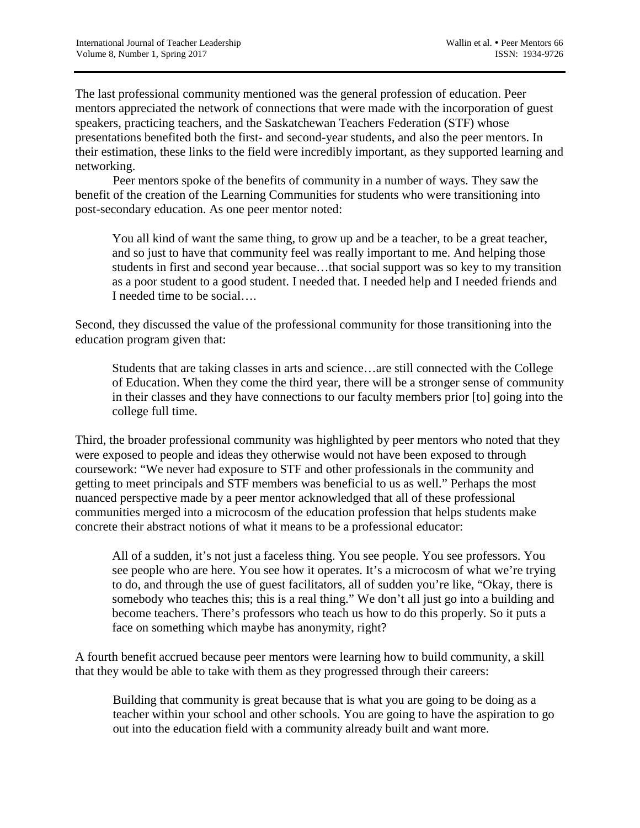The last professional community mentioned was the general profession of education. Peer mentors appreciated the network of connections that were made with the incorporation of guest speakers, practicing teachers, and the Saskatchewan Teachers Federation (STF) whose presentations benefited both the first- and second-year students, and also the peer mentors. In their estimation, these links to the field were incredibly important, as they supported learning and networking.

Peer mentors spoke of the benefits of community in a number of ways. They saw the benefit of the creation of the Learning Communities for students who were transitioning into post-secondary education. As one peer mentor noted:

You all kind of want the same thing, to grow up and be a teacher, to be a great teacher, and so just to have that community feel was really important to me. And helping those students in first and second year because…that social support was so key to my transition as a poor student to a good student. I needed that. I needed help and I needed friends and I needed time to be social….

Second, they discussed the value of the professional community for those transitioning into the education program given that:

Students that are taking classes in arts and science…are still connected with the College of Education. When they come the third year, there will be a stronger sense of community in their classes and they have connections to our faculty members prior [to] going into the college full time.

Third, the broader professional community was highlighted by peer mentors who noted that they were exposed to people and ideas they otherwise would not have been exposed to through coursework: "We never had exposure to STF and other professionals in the community and getting to meet principals and STF members was beneficial to us as well." Perhaps the most nuanced perspective made by a peer mentor acknowledged that all of these professional communities merged into a microcosm of the education profession that helps students make concrete their abstract notions of what it means to be a professional educator:

All of a sudden, it's not just a faceless thing. You see people. You see professors. You see people who are here. You see how it operates. It's a microcosm of what we're trying to do, and through the use of guest facilitators, all of sudden you're like, "Okay, there is somebody who teaches this; this is a real thing." We don't all just go into a building and become teachers. There's professors who teach us how to do this properly. So it puts a face on something which maybe has anonymity, right?

A fourth benefit accrued because peer mentors were learning how to build community, a skill that they would be able to take with them as they progressed through their careers:

Building that community is great because that is what you are going to be doing as a teacher within your school and other schools. You are going to have the aspiration to go out into the education field with a community already built and want more.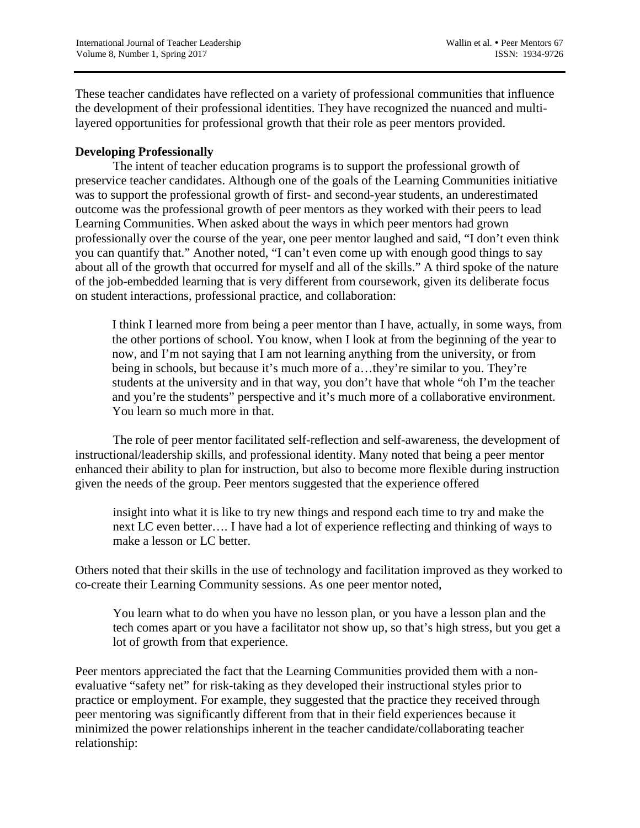These teacher candidates have reflected on a variety of professional communities that influence the development of their professional identities. They have recognized the nuanced and multilayered opportunities for professional growth that their role as peer mentors provided.

# **Developing Professionally**

The intent of teacher education programs is to support the professional growth of preservice teacher candidates. Although one of the goals of the Learning Communities initiative was to support the professional growth of first- and second-year students, an underestimated outcome was the professional growth of peer mentors as they worked with their peers to lead Learning Communities. When asked about the ways in which peer mentors had grown professionally over the course of the year, one peer mentor laughed and said, "I don't even think you can quantify that." Another noted, "I can't even come up with enough good things to say about all of the growth that occurred for myself and all of the skills." A third spoke of the nature of the job-embedded learning that is very different from coursework, given its deliberate focus on student interactions, professional practice, and collaboration:

I think I learned more from being a peer mentor than I have, actually, in some ways, from the other portions of school. You know, when I look at from the beginning of the year to now, and I'm not saying that I am not learning anything from the university, or from being in schools, but because it's much more of a…they're similar to you. They're students at the university and in that way, you don't have that whole "oh I'm the teacher and you're the students" perspective and it's much more of a collaborative environment. You learn so much more in that.

The role of peer mentor facilitated self-reflection and self-awareness, the development of instructional/leadership skills, and professional identity. Many noted that being a peer mentor enhanced their ability to plan for instruction, but also to become more flexible during instruction given the needs of the group. Peer mentors suggested that the experience offered

insight into what it is like to try new things and respond each time to try and make the next LC even better…. I have had a lot of experience reflecting and thinking of ways to make a lesson or LC better.

Others noted that their skills in the use of technology and facilitation improved as they worked to co-create their Learning Community sessions. As one peer mentor noted,

You learn what to do when you have no lesson plan, or you have a lesson plan and the tech comes apart or you have a facilitator not show up, so that's high stress, but you get a lot of growth from that experience.

Peer mentors appreciated the fact that the Learning Communities provided them with a nonevaluative "safety net" for risk-taking as they developed their instructional styles prior to practice or employment. For example, they suggested that the practice they received through peer mentoring was significantly different from that in their field experiences because it minimized the power relationships inherent in the teacher candidate/collaborating teacher relationship: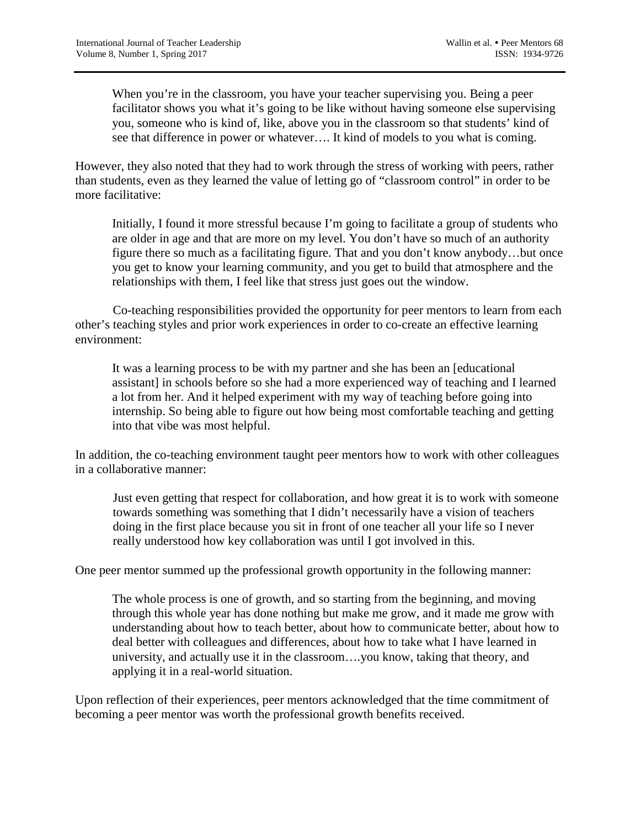When you're in the classroom, you have your teacher supervising you. Being a peer facilitator shows you what it's going to be like without having someone else supervising you, someone who is kind of, like, above you in the classroom so that students' kind of see that difference in power or whatever…. It kind of models to you what is coming.

However, they also noted that they had to work through the stress of working with peers, rather than students, even as they learned the value of letting go of "classroom control" in order to be more facilitative:

Initially, I found it more stressful because I'm going to facilitate a group of students who are older in age and that are more on my level. You don't have so much of an authority figure there so much as a facilitating figure. That and you don't know anybody…but once you get to know your learning community, and you get to build that atmosphere and the relationships with them, I feel like that stress just goes out the window.

Co-teaching responsibilities provided the opportunity for peer mentors to learn from each other's teaching styles and prior work experiences in order to co-create an effective learning environment:

It was a learning process to be with my partner and she has been an [educational assistant] in schools before so she had a more experienced way of teaching and I learned a lot from her. And it helped experiment with my way of teaching before going into internship. So being able to figure out how being most comfortable teaching and getting into that vibe was most helpful.

In addition, the co-teaching environment taught peer mentors how to work with other colleagues in a collaborative manner:

Just even getting that respect for collaboration, and how great it is to work with someone towards something was something that I didn't necessarily have a vision of teachers doing in the first place because you sit in front of one teacher all your life so I never really understood how key collaboration was until I got involved in this.

One peer mentor summed up the professional growth opportunity in the following manner:

The whole process is one of growth, and so starting from the beginning, and moving through this whole year has done nothing but make me grow, and it made me grow with understanding about how to teach better, about how to communicate better, about how to deal better with colleagues and differences, about how to take what I have learned in university, and actually use it in the classroom….you know, taking that theory, and applying it in a real-world situation.

Upon reflection of their experiences, peer mentors acknowledged that the time commitment of becoming a peer mentor was worth the professional growth benefits received.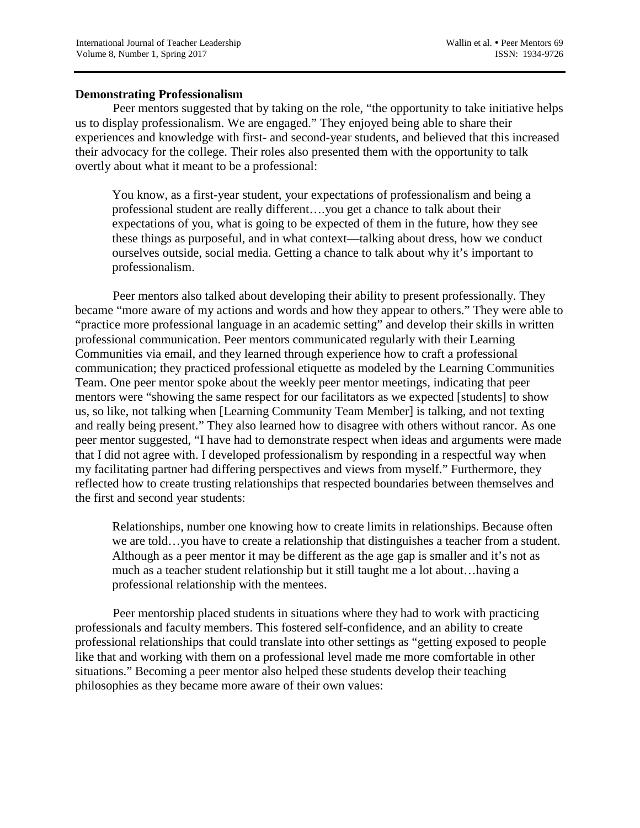### **Demonstrating Professionalism**

Peer mentors suggested that by taking on the role, "the opportunity to take initiative helps us to display professionalism. We are engaged." They enjoyed being able to share their experiences and knowledge with first- and second-year students, and believed that this increased their advocacy for the college. Their roles also presented them with the opportunity to talk overtly about what it meant to be a professional:

You know, as a first-year student, your expectations of professionalism and being a professional student are really different….you get a chance to talk about their expectations of you, what is going to be expected of them in the future, how they see these things as purposeful, and in what context—talking about dress, how we conduct ourselves outside, social media. Getting a chance to talk about why it's important to professionalism.

Peer mentors also talked about developing their ability to present professionally. They became "more aware of my actions and words and how they appear to others." They were able to "practice more professional language in an academic setting" and develop their skills in written professional communication. Peer mentors communicated regularly with their Learning Communities via email, and they learned through experience how to craft a professional communication; they practiced professional etiquette as modeled by the Learning Communities Team. One peer mentor spoke about the weekly peer mentor meetings, indicating that peer mentors were "showing the same respect for our facilitators as we expected [students] to show us, so like, not talking when [Learning Community Team Member] is talking, and not texting and really being present." They also learned how to disagree with others without rancor. As one peer mentor suggested, "I have had to demonstrate respect when ideas and arguments were made that I did not agree with. I developed professionalism by responding in a respectful way when my facilitating partner had differing perspectives and views from myself." Furthermore, they reflected how to create trusting relationships that respected boundaries between themselves and the first and second year students:

Relationships, number one knowing how to create limits in relationships. Because often we are told…you have to create a relationship that distinguishes a teacher from a student. Although as a peer mentor it may be different as the age gap is smaller and it's not as much as a teacher student relationship but it still taught me a lot about…having a professional relationship with the mentees.

Peer mentorship placed students in situations where they had to work with practicing professionals and faculty members. This fostered self-confidence, and an ability to create professional relationships that could translate into other settings as "getting exposed to people like that and working with them on a professional level made me more comfortable in other situations." Becoming a peer mentor also helped these students develop their teaching philosophies as they became more aware of their own values: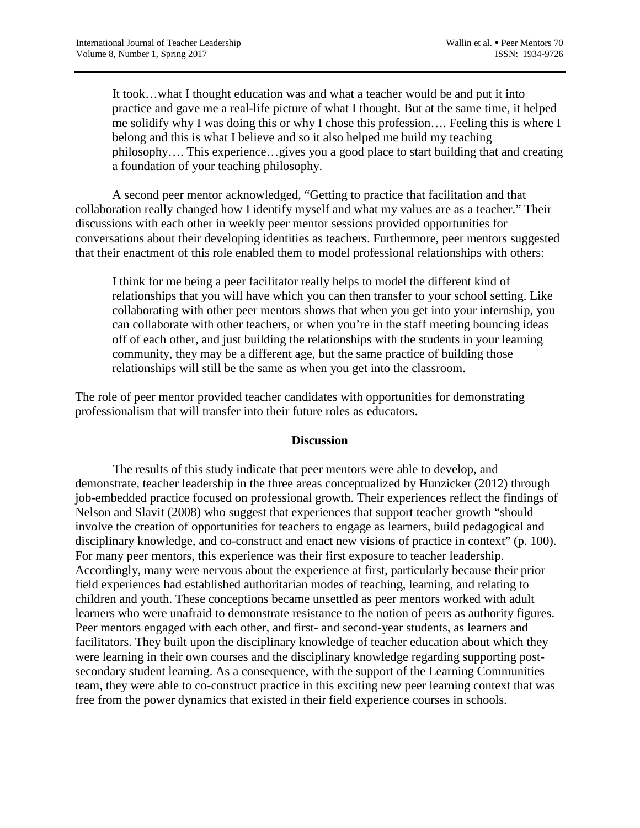It took…what I thought education was and what a teacher would be and put it into practice and gave me a real-life picture of what I thought. But at the same time, it helped me solidify why I was doing this or why I chose this profession…. Feeling this is where I belong and this is what I believe and so it also helped me build my teaching philosophy…. This experience…gives you a good place to start building that and creating a foundation of your teaching philosophy.

A second peer mentor acknowledged, "Getting to practice that facilitation and that collaboration really changed how I identify myself and what my values are as a teacher." Their discussions with each other in weekly peer mentor sessions provided opportunities for conversations about their developing identities as teachers. Furthermore, peer mentors suggested that their enactment of this role enabled them to model professional relationships with others:

I think for me being a peer facilitator really helps to model the different kind of relationships that you will have which you can then transfer to your school setting. Like collaborating with other peer mentors shows that when you get into your internship, you can collaborate with other teachers, or when you're in the staff meeting bouncing ideas off of each other, and just building the relationships with the students in your learning community, they may be a different age, but the same practice of building those relationships will still be the same as when you get into the classroom.

The role of peer mentor provided teacher candidates with opportunities for demonstrating professionalism that will transfer into their future roles as educators.

## **Discussion**

The results of this study indicate that peer mentors were able to develop, and demonstrate, teacher leadership in the three areas conceptualized by Hunzicker (2012) through job-embedded practice focused on professional growth. Their experiences reflect the findings of Nelson and Slavit (2008) who suggest that experiences that support teacher growth "should involve the creation of opportunities for teachers to engage as learners, build pedagogical and disciplinary knowledge, and co-construct and enact new visions of practice in context" (p. 100). For many peer mentors, this experience was their first exposure to teacher leadership. Accordingly, many were nervous about the experience at first, particularly because their prior field experiences had established authoritarian modes of teaching, learning, and relating to children and youth. These conceptions became unsettled as peer mentors worked with adult learners who were unafraid to demonstrate resistance to the notion of peers as authority figures. Peer mentors engaged with each other, and first- and second-year students, as learners and facilitators. They built upon the disciplinary knowledge of teacher education about which they were learning in their own courses and the disciplinary knowledge regarding supporting postsecondary student learning. As a consequence, with the support of the Learning Communities team, they were able to co-construct practice in this exciting new peer learning context that was free from the power dynamics that existed in their field experience courses in schools.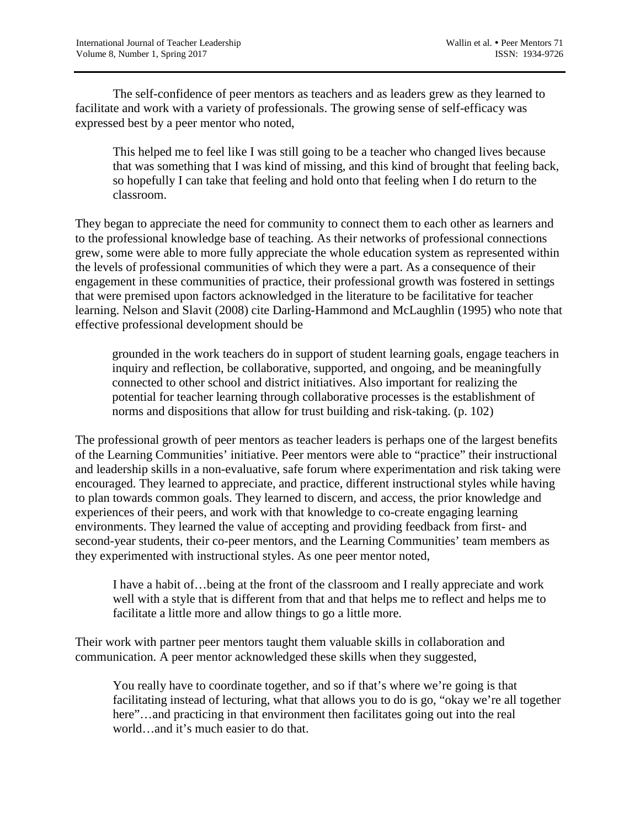The self-confidence of peer mentors as teachers and as leaders grew as they learned to facilitate and work with a variety of professionals. The growing sense of self-efficacy was expressed best by a peer mentor who noted,

This helped me to feel like I was still going to be a teacher who changed lives because that was something that I was kind of missing, and this kind of brought that feeling back, so hopefully I can take that feeling and hold onto that feeling when I do return to the classroom.

They began to appreciate the need for community to connect them to each other as learners and to the professional knowledge base of teaching. As their networks of professional connections grew, some were able to more fully appreciate the whole education system as represented within the levels of professional communities of which they were a part. As a consequence of their engagement in these communities of practice, their professional growth was fostered in settings that were premised upon factors acknowledged in the literature to be facilitative for teacher learning. Nelson and Slavit (2008) cite Darling-Hammond and McLaughlin (1995) who note that effective professional development should be

grounded in the work teachers do in support of student learning goals, engage teachers in inquiry and reflection, be collaborative, supported, and ongoing, and be meaningfully connected to other school and district initiatives. Also important for realizing the potential for teacher learning through collaborative processes is the establishment of norms and dispositions that allow for trust building and risk-taking. (p. 102)

The professional growth of peer mentors as teacher leaders is perhaps one of the largest benefits of the Learning Communities' initiative. Peer mentors were able to "practice" their instructional and leadership skills in a non-evaluative, safe forum where experimentation and risk taking were encouraged. They learned to appreciate, and practice, different instructional styles while having to plan towards common goals. They learned to discern, and access, the prior knowledge and experiences of their peers, and work with that knowledge to co-create engaging learning environments. They learned the value of accepting and providing feedback from first- and second-year students, their co-peer mentors, and the Learning Communities' team members as they experimented with instructional styles. As one peer mentor noted,

I have a habit of…being at the front of the classroom and I really appreciate and work well with a style that is different from that and that helps me to reflect and helps me to facilitate a little more and allow things to go a little more.

Their work with partner peer mentors taught them valuable skills in collaboration and communication. A peer mentor acknowledged these skills when they suggested,

You really have to coordinate together, and so if that's where we're going is that facilitating instead of lecturing, what that allows you to do is go, "okay we're all together here"...and practicing in that environment then facilitates going out into the real world…and it's much easier to do that.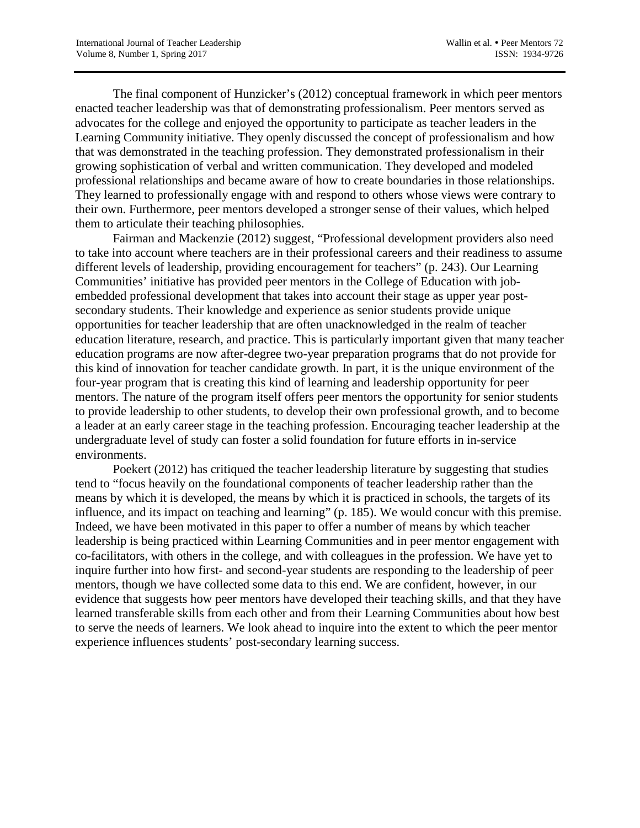The final component of Hunzicker's (2012) conceptual framework in which peer mentors enacted teacher leadership was that of demonstrating professionalism. Peer mentors served as advocates for the college and enjoyed the opportunity to participate as teacher leaders in the Learning Community initiative. They openly discussed the concept of professionalism and how that was demonstrated in the teaching profession. They demonstrated professionalism in their growing sophistication of verbal and written communication. They developed and modeled professional relationships and became aware of how to create boundaries in those relationships. They learned to professionally engage with and respond to others whose views were contrary to their own. Furthermore, peer mentors developed a stronger sense of their values, which helped them to articulate their teaching philosophies.

Fairman and Mackenzie (2012) suggest, "Professional development providers also need to take into account where teachers are in their professional careers and their readiness to assume different levels of leadership, providing encouragement for teachers" (p. 243). Our Learning Communities' initiative has provided peer mentors in the College of Education with jobembedded professional development that takes into account their stage as upper year postsecondary students. Their knowledge and experience as senior students provide unique opportunities for teacher leadership that are often unacknowledged in the realm of teacher education literature, research, and practice. This is particularly important given that many teacher education programs are now after-degree two-year preparation programs that do not provide for this kind of innovation for teacher candidate growth. In part, it is the unique environment of the four-year program that is creating this kind of learning and leadership opportunity for peer mentors. The nature of the program itself offers peer mentors the opportunity for senior students to provide leadership to other students, to develop their own professional growth, and to become a leader at an early career stage in the teaching profession. Encouraging teacher leadership at the undergraduate level of study can foster a solid foundation for future efforts in in-service environments.

Poekert (2012) has critiqued the teacher leadership literature by suggesting that studies tend to "focus heavily on the foundational components of teacher leadership rather than the means by which it is developed, the means by which it is practiced in schools, the targets of its influence, and its impact on teaching and learning" (p. 185). We would concur with this premise. Indeed, we have been motivated in this paper to offer a number of means by which teacher leadership is being practiced within Learning Communities and in peer mentor engagement with co-facilitators, with others in the college, and with colleagues in the profession. We have yet to inquire further into how first- and second-year students are responding to the leadership of peer mentors, though we have collected some data to this end. We are confident, however, in our evidence that suggests how peer mentors have developed their teaching skills, and that they have learned transferable skills from each other and from their Learning Communities about how best to serve the needs of learners. We look ahead to inquire into the extent to which the peer mentor experience influences students' post-secondary learning success.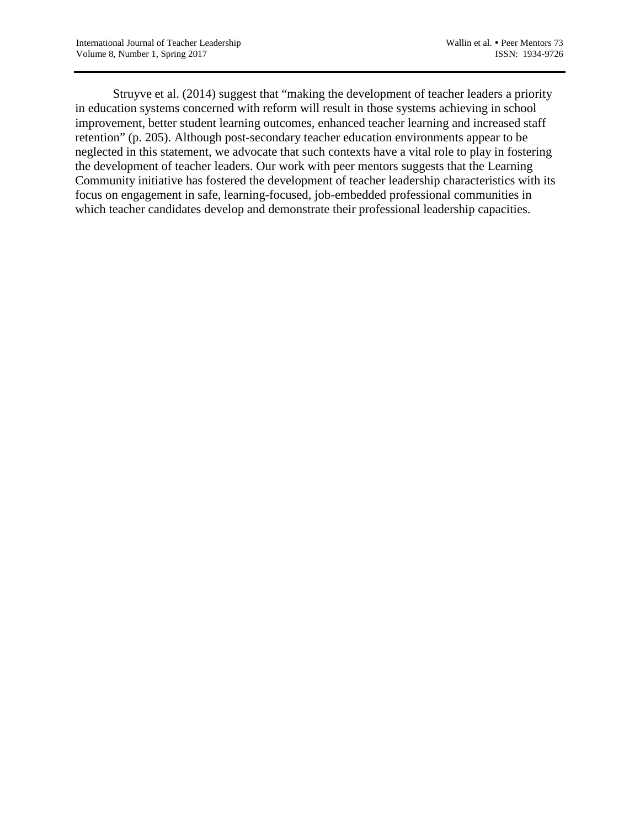Struyve et al. (2014) suggest that "making the development of teacher leaders a priority in education systems concerned with reform will result in those systems achieving in school improvement, better student learning outcomes, enhanced teacher learning and increased staff retention" (p. 205). Although post-secondary teacher education environments appear to be neglected in this statement, we advocate that such contexts have a vital role to play in fostering the development of teacher leaders. Our work with peer mentors suggests that the Learning Community initiative has fostered the development of teacher leadership characteristics with its focus on engagement in safe, learning-focused, job-embedded professional communities in which teacher candidates develop and demonstrate their professional leadership capacities.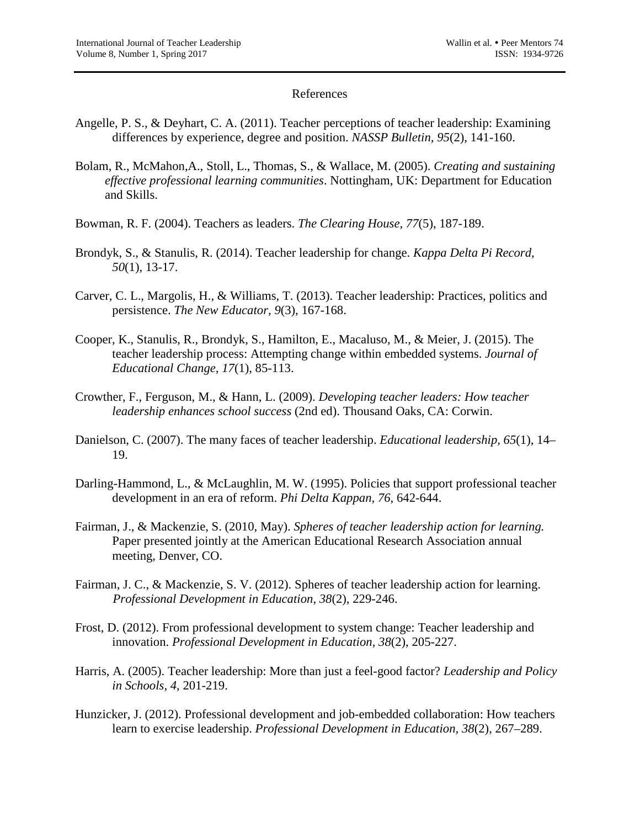### References

- Angelle, P. S., & Deyhart, C. A. (2011). Teacher perceptions of teacher leadership: Examining differences by experience, degree and position. *NASSP Bulletin, 95*(2), 141-160.
- Bolam, R., McMahon,A., Stoll, L., Thomas, S., & Wallace, M. (2005). *Creating and sustaining effective professional learning communities*. Nottingham, UK: Department for Education and Skills.
- Bowman, R. F. (2004). Teachers as leaders. *The Clearing House, 77*(5), 187-189.
- Brondyk, S., & Stanulis, R. (2014). Teacher leadership for change. *Kappa Delta Pi Record, 50*(1), 13-17.
- Carver, C. L., Margolis, H., & Williams, T. (2013). Teacher leadership: Practices, politics and persistence. *The New Educator, 9*(3), 167-168.
- Cooper, K., Stanulis, R., Brondyk, S., Hamilton, E., Macaluso, M., & Meier, J. (2015). The teacher leadership process: Attempting change within embedded systems. *Journal of Educational Change, 17*(1), 85-113.
- Crowther, F., Ferguson, M., & Hann, L. (2009). *Developing teacher leaders: How teacher leadership enhances school success* (2nd ed). Thousand Oaks, CA: Corwin.
- Danielson, C. (2007). The many faces of teacher leadership. *Educational leadership, 65*(1), 14– 19.
- Darling-Hammond, L., & McLaughlin, M. W. (1995). Policies that support professional teacher development in an era of reform. *Phi Delta Kappan, 76*, 642-644.
- Fairman, J., & Mackenzie, S. (2010, May). *Spheres of teacher leadership action for learning.* Paper presented jointly at the American Educational Research Association annual meeting, Denver, CO.
- Fairman, J. C., & Mackenzie, S. V. (2012). Spheres of teacher leadership action for learning. *Professional Development in Education, 38*(2), 229-246.
- Frost, D. (2012). From professional development to system change: Teacher leadership and innovation. *Professional Development in Education, 38*(2), 205-227.
- Harris, A. (2005). Teacher leadership: More than just a feel-good factor? *Leadership and Policy in Schools, 4*, 201-219.
- Hunzicker, J. (2012). Professional development and job-embedded collaboration: How teachers learn to exercise leadership. *Professional Development in Education, 38*(2), 267–289.